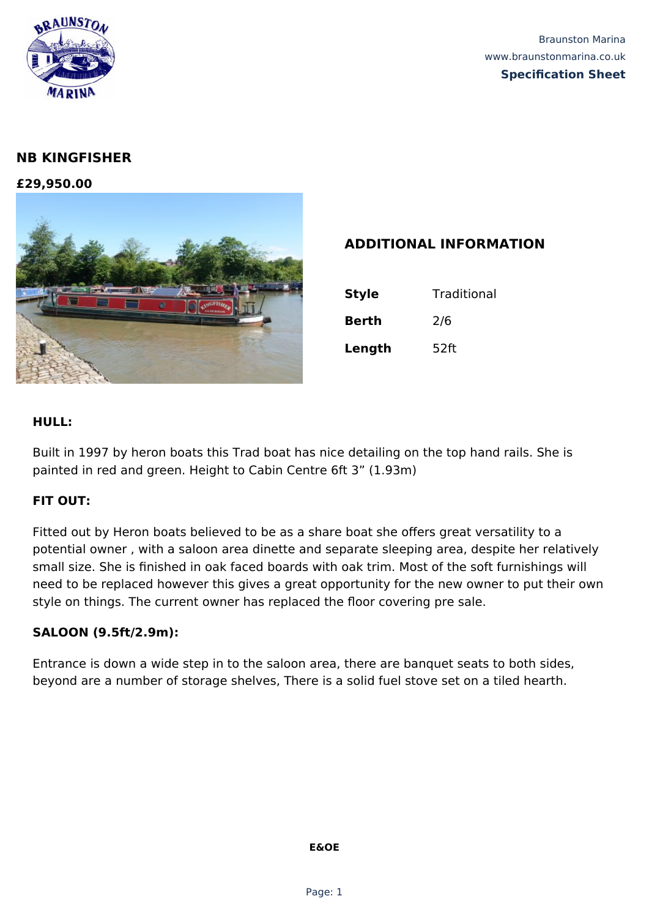

# **NB KINGFISHER**

**£29,950.00**



## **ADDITIONAL INFORMATION**

| <b>Style</b> | Traditional |
|--------------|-------------|
| <b>Berth</b> | 2/6         |
| Length       | 52ft        |

#### **HULL:**

Built in 1997 by heron boats this Trad boat has nice detailing on the top hand rails. She is painted in red and green. Height to Cabin Centre 6ft 3" (1.93m)

#### **FIT OUT:**

Fitted out by Heron boats believed to be as a share boat she offers great versatility to a potential owner , with a saloon area dinette and separate sleeping area, despite her relatively small size. She is finished in oak faced boards with oak trim. Most of the soft furnishings will need to be replaced however this gives a great opportunity for the new owner to put their own style on things. The current owner has replaced the floor covering pre sale.

#### **SALOON (9.5ft/2.9m):**

Entrance is down a wide step in to the saloon area, there are banquet seats to both sides, beyond are a number of storage shelves, There is a solid fuel stove set on a tiled hearth.

#### **E&OE**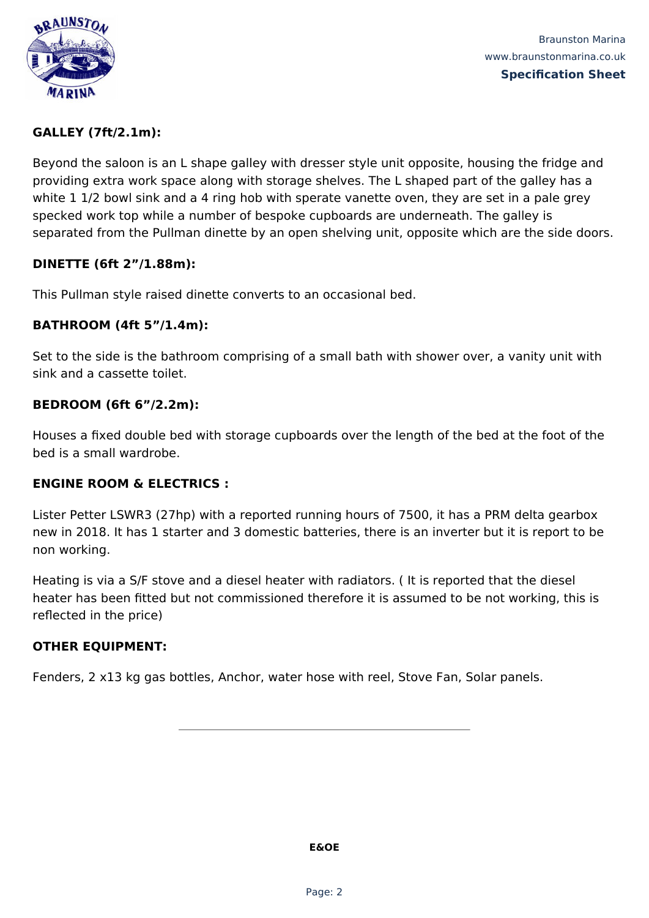

Braunston Marina www.braunstonmarina.co.uk **Specification Sheet**

#### **GALLEY (7ft/2.1m):**

Beyond the saloon is an L shape galley with dresser style unit opposite, housing the fridge and providing extra work space along with storage shelves. The L shaped part of the galley has a white 1 1/2 bowl sink and a 4 ring hob with sperate vanette oven, they are set in a pale grey specked work top while a number of bespoke cupboards are underneath. The galley is separated from the Pullman dinette by an open shelving unit, opposite which are the side doors.

#### **DINETTE (6ft 2"/1.88m):**

This Pullman style raised dinette converts to an occasional bed.

### **BATHROOM (4ft 5"/1.4m):**

Set to the side is the bathroom comprising of a small bath with shower over, a vanity unit with sink and a cassette toilet.

#### **BEDROOM (6ft 6"/2.2m):**

Houses a fixed double bed with storage cupboards over the length of the bed at the foot of the bed is a small wardrobe.

#### **ENGINE ROOM & ELECTRICS :**

Lister Petter LSWR3 (27hp) with a reported running hours of 7500, it has a PRM delta gearbox new in 2018. It has 1 starter and 3 domestic batteries, there is an inverter but it is report to be non working.

Heating is via a S/F stove and a diesel heater with radiators. ( It is reported that the diesel heater has been fitted but not commissioned therefore it is assumed to be not working, this is reflected in the price)

#### **OTHER EQUIPMENT:**

Fenders, 2 x13 kg gas bottles, Anchor, water hose with reel, Stove Fan, Solar panels.

**E&OE**